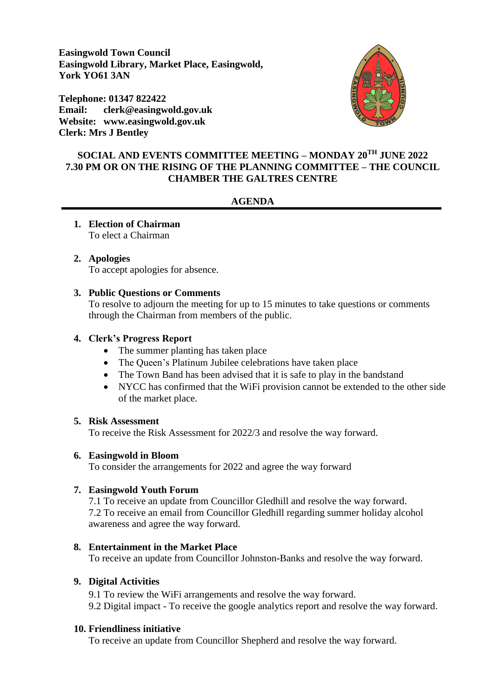**Easingwold Town Council Easingwold Library, Market Place, Easingwold, York YO61 3AN**

**Telephone: 01347 822422 Email: clerk@easingwold.gov.uk Website: www.easingwold.gov.uk Clerk: Mrs J Bentley**



## **SOCIAL AND EVENTS COMMITTEE MEETING – MONDAY 20TH JUNE 2022 7.30 PM OR ON THE RISING OF THE PLANNING COMMITTEE – THE COUNCIL CHAMBER THE GALTRES CENTRE**

#### **AGENDA**

#### **1. Election of Chairman** To elect a Chairman

# **2. Apologies**

# To accept apologies for absence.

#### **3. Public Questions or Comments**

To resolve to adjourn the meeting for up to 15 minutes to take questions or comments through the Chairman from members of the public.

#### **4. Clerk's Progress Report**

- The summer planting has taken place
- The Queen's Platinum Jubilee celebrations have taken place
- The Town Band has been advised that it is safe to play in the bandstand
- NYCC has confirmed that the WiFi provision cannot be extended to the other side of the market place.

#### **5. Risk Assessment**

To receive the Risk Assessment for 2022/3 and resolve the way forward.

### **6. Easingwold in Bloom**

To consider the arrangements for 2022 and agree the way forward

### **7. Easingwold Youth Forum**

7.1 To receive an update from Councillor Gledhill and resolve the way forward. 7.2 To receive an email from Councillor Gledhill regarding summer holiday alcohol awareness and agree the way forward.

#### **8. Entertainment in the Market Place**

To receive an update from Councillor Johnston-Banks and resolve the way forward.

### **9. Digital Activities**

9.1 To review the WiFi arrangements and resolve the way forward. 9.2 Digital impact - To receive the google analytics report and resolve the way forward.

### **10. Friendliness initiative**

To receive an update from Councillor Shepherd and resolve the way forward.